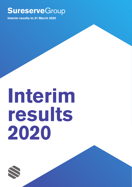# **Sureserve**Group

Interim results to 31 March 2019

**Sureserve**Group

Interim results to 31 March 2020

# Interim results 2020

**Sureserve** 

**Sureserve** 

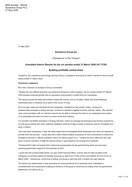27 May 2020

### **Sureserve Group plc**

("Sureserve" or the "Group")

# **Unaudited Interim Results for the six months ended 31 March 2020 (H1 FY20)**

#### **Building profitable market share**

Sureserve, the compliance and energy services Group, is pleased to announce its interim results for the six month period ended 31 March 2020.

#### **Chairman's statement**

Bob Holt, Chairman of Sureserve Group commented

"Despite the very difficult economic circumstances facing the United Kingdom, the six months ended 31<sup>st</sup> March 2020 showed continued growth and an impressive improvement in profits from our businesses.

The results include the latter part of March where the country and our Scottish, Welsh and Smart Metering businesses were in lockdown as a result of the Covid-19 crisis.

All of our gas, water and electrical service businesses, classified as "key worker" status, carrying out predominantly emergency testing services, continue to operate to agreed protocols with key clients. We maintain open communications with our clients to ensure we are able to minimize the risks to our employees and position us to participate fully when we return to more normal work streams.

Our Scottish and Welsh operations in Energy Services, where we manage the Emerging Fuel Poverty programme for both governments and smart metering installation working for Big 6 energy companies, saw an immediate shut down in March.

Like most other businesses, it was with deep regret that we furloughed those employees who were not required to provide front line services. I would also like to thank those frontline employees for their commitment to deliver the emergency services in difficult conditions which our clients expect of us. I believe the team effort from the most junior to senior members of staff will hold the Group in good stead as we emerge from lockdown.

The Board felt it right and proper that it reduce its compensation for the period during which we have been receiving government support for the business by 20%.

I would also like to thank Peter Smith, our new Chief Financial Officer, and his team for their excellent work managing our working capital and thereby reducing our debt from £12.9m at the end of March 2019 to £3.5m at March 2020. Furthermore, at the time of writing, the Group is debt free with a modest net cash balance.

The Group has implemented a clear procedure for ensuring that all of our premises have undertaken a comprehensive risk assessment enabling all divisions of the group to recommence trading when the government determines it as safe to do so.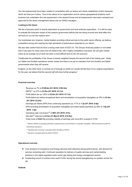Our risk assessments have been created in consultation with our teams and clearly established control measures which we have put in place. Due to the nature of our organization and its various geographical locations, each business has undertaken this risk assessment in the desired format and all assessments have been reviewed and approved by the senior management teams and our SHEQ managers.

#### **Looking to the future**

We are a business which is heavily dependent on government and local authority expenditure. It is still too early to evaluate the long-term impact of the massive government deficits that are being incurred and what effect this will have on us over the medium term.

Our businesses are, however, market leaders providing critical services to the public sector offering, we believe, competitive pricing and meeting the high standards of performance expected by our clients.

We also take comfort that we have a strong order book of £323.7m. The Group's financial position is now better than it has been for many years and we believe that, with a highly competitive cost basis, we can gain market share as we emerge out of what has been a most difficult time for the UK economy.

Traditionally the profitability of the Group is heavily weighted towards the second half of the trading year. Sadly, our Welsh and Scottish operations remain closed and there is as yet no indication from the Scottish and Welsh governments when they will resume.

England, on the other hand, is coming out of furlough so whilst our results will fall short of our original expectations for the year, we believe that the second half will show further progress."

#### **Financial overview**

- · Revenue up 7% to **£109.6m (H1 2019: £102.5m)**
- · EBITA\*1 up 27% to **£3.9m (H1 2019: £3.1m)**
- · Profit before tax up 129% to **£2.6m (H1 2019: £1.1m)**
- · Profit before tax before exceptional items and amortisation of acquisition intangibles up 35% to **£3.4m (H1 2019: £2.5m)**
- · Earnings per Share (EPS) from continuing operations up 117% to **1.3p (H1 2019: 0.6p)**
- · EPS excluding amortisation of acquisition intangibles and share based payments up 29% to **1.8p (H1 2019: 1.4p)**
- · Operating cash conversion\*2 of **88% (H1 2019: 51%)**
- Net debt<sup>\*3</sup> reduced to £3.5m (31 March 2019: £12.9m)
- · Order book of **£323.7m** providing visibility of earnings with circa 90% covered in FY20

*\*1 EBITA is defined as operating profit before exceptional items and amortisation of acquisition intangibles. EBITA excludes the profit from*

*Discontinued Operations.*

*\*2 Operating cash conversion is calculated before the effect of IFRS16*

*\*<sup>3</sup> Net debt is calculated before the effect of IFRS16*

#### **Operational overview**

- Core divisions of Compliance and Energy Services both delivered strong performances, with demand for services remaining solid. Continued reputation for delivery of quality services and market-leading positions in the highly-regulated public sector gas testing and energy management sectors
- Outstanding record of contract wins worth £124m during the period strengthening our position across the UK

#### **Outlook**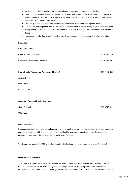- Well-placed to deliver a clear growth strategy in our market-leading gas services division
- 90% of FY2020 forecast revenue covered by the order book worth £323.7m, providing good visibility of non-volatile revenue streams. The nature of our work and clients is such that while we may see delays, we do not expect work to be cancelled
- The Group is well-positioned for further organic growth in a fragmented and regional market
- Despite the challenges of Covid-19, we expect the continuation of strong trading in FY20 maintaining the Group's momentum. The work we do on behalf of our clients is such that this will continue well into the future
- Increased opportunities to look for further growth from the current crisis, both with existing and future  $\bullet$ clients.

#### **Enquiries**

#### **Sureserve Group**

| Bob Holt OBE, Chairman                              | 07778 798 816 |
|-----------------------------------------------------|---------------|
| Peter Smith, Chief Financial Officer                | 07590 929 431 |
| <b>Shore Capital (Nominated Adviser and Broker)</b> | 020 7408 4050 |
| Antonio Bossi                                       |               |
| Mark Brown                                          |               |

Fiona Conroy

#### **Camarco (Financial Public Relations)**

Ginny Pulbrook 020 3757 4992

Ollie Head

#### **Notes to editors**

Sureserve is a leading compliance and energy services group that performs critical functions in homes, public and commercial buildings, with a focus on clients in the UK public sector and regulated markets. Services are delivered through two divisions: Compliance and Energy Services.

The Group was founded in 1988 and is headquartered in Basildon and currently employs some 2,116 staff.

#### **OPERATIONAL REVIEW**

The unprecedented situation presented by the Covid-19 pandemic and associated Government response has resulted in challenges for the Sureserve group and our operations, as with many others. The safety of our employees and customers has and will always be our absolute priority. Our focus has been the implementation of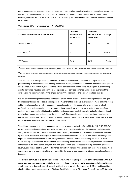numerous measures to ensure that we can serve our customers in a completely safe manner while protecting the wellbeing of colleagues and minimising virus spread risk. Throughout this period we have witnessed many encouraging examples of voluntary support and assistance by our key workers to communities and the individuals within them.

**Compliance** (66% of Group revenue / H1 FY19: 63%)

| Compliance: six months ended 31 March | <b>Unaudited</b><br>6 months to 31<br><b>March 2020</b> | <b>Unaudited</b><br>6 months to 31<br><b>March 2019</b> | Change  |
|---------------------------------------|---------------------------------------------------------|---------------------------------------------------------|---------|
| Revenue $(\text{Em})^*$ <sup>1</sup>  | 73.4                                                    | 65.7                                                    | 11.6%   |
| EBITA $(\text{Em})$ * <sup>2</sup>    | 3.7                                                     | 2.6                                                     | 40.2%   |
| <b>EBITA</b> margin                   | 5.0%                                                    | 4.0%                                                    | 1.0ppts |

\*<sup>1</sup> Division revenue figures include revenue from intercompany trading which accounts for a total across both divisions of £1.1m in 2020 and £1.3m in 2019.

\*2 EBITA is defined as operating profit before exceptional items and amortisation of acquisition intangibles. EBITA excludes the profit from Discontinued Operations.

The Compliance division provides planned and responsive maintenance, installation and repair services predominantly to local authority and housing association clients, in the areas of domestic and commercial gas, fire and electrical, water and air hygiene, and lifts. These services cover clients' social housing and public building assets, as well as industrial and commercial properties. Gas services comprise around three quarters of the division and we believe we remain the largest player in this fragmented and typically localised market.

We are predominantly paid for service and repair work on a fixed price basis evenly through the year. The gas businesses (which as noted above encompass the majority of the division's revenues) have more call-outs during colder months, resulting in higher labour and materials costs, with this seasonality driving higher levels of profitability and cash generation in the warmer months when call-out rates are lower and a proportion of our engineers can be redeployed to jobs that yield further income. As a result, historically a significant proportion of the division's annual profit arises during the second half of the financial year, making the strong results in this current period even more pleasing. Revenue growth combined with a move to our targeted EBITA margin levels of 5% has seen a considerable step forward in our profits.

The division repeated previous strong period-on-period revenue growth of 11.6% to £73.4m (H1 FY19: £65.7m), driven by continued new contract wins and extensions in addition to ongoing regulatory pressures in the sector and growth within our fire protection business, demonstrating a continued improvement following work delivered by that team. Installation works again exceeded expectations in the first half of the year, which by adding to our improved contractual client base further strengthened our position. EBITA increased by 40.2% to £3.7m (H1 FY19: £2.6m). The additional profitability has been driven by a combination of two factors; increased revenues in comparison to the same period last year, with both gas and non-gas businesses showing consistent growth in revenue, and further positive EBITA performance driven from margins which arises from work mix including more commercial works in addition to efficiencies gained by the experienced management teams as scale continues to increase.

The division continued its excellent track record on new wins during the period with particular success within our Aaron Services business, including £8.4m of work over three years for gas boiler upgrades and electrical testing with Hinckley and Bosworth council, a repair and testing contract with Stonewater worth £4.0m and in addition significant framework acceptances with Efficiency East Midlands (up to £4.2m) and Fusion 21 (up to £5.0m, with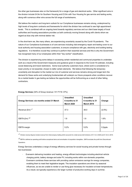the other gas businesses also on the framework) for a range of gas and electrical works. Other significant wins in the division include £4.9m for Southern Housing and £3.9m with Your Housing for gas service and testing works, along with numerous other wins across the full range of workstreams.

We believe the medium and long-term outlook for our Compliance businesses remains strong, underpinned by high levels of long-term contracts and frameworks for which the division has continued to see high appointment levels. This is combined with an ongoing trend towards regulatory services and our client base largely of local authorities and housing associations provides us both continuity moving forward along with clients whom we regard as blue chip with minimal debtor risk.

In the short-term we, like many others, are experiencing uncertainty caused by the Covid-19 pandemic. The nature of our Compliance businesses is of core services including vital emergency repair and testing cover to our local authority and housing association customers, to ensure compliance with gas, electricity and building testing regulations. It is therefore crucial they continue to perform their essential services and this is why the Government has recognised many of our employees within their "key worker" classification.

The division is experiencing some delays in accessing certain residential and communal properties to undertake work as a result of the Government measures and guidance given in response to the Covid-19 outbreak, including social distancing and travel restrictions. Some local authority customers have, where work is considered of a lower priority or not essential, chosen to defer certain elements. We believe that following the temporary uncertainty and disruption to the market our mix of customer and services remains strong and longer-term the demand for these works and underlying fundamentals will underpin our future prospects when conditions recover. As a market leader in gas testing we believe the opportunities will be forthcoming as a result of other failing contractors.

| <b>Energy Services: six months ended 31 March</b> | <b>Unaudited</b><br>6 months to 31<br><b>March 2020</b> | <b>Unaudited</b><br>6 months to 31<br><b>March 2019</b> | Change    |
|---------------------------------------------------|---------------------------------------------------------|---------------------------------------------------------|-----------|
| Revenue (£m) * <sup>1</sup>                       | 37.3                                                    | 38.0                                                    | $(2.0\%)$ |
| EBITA $(\text{Em})$ * <sup>2</sup>                | 1.9                                                     | 1.9                                                     | 1.6%      |
| EBITA margin                                      | 5.2%                                                    | 5.0%                                                    | 0.2ppts   |

**Energy Services** (34% of Group revenue / H1 FY19: 37%)

\*1 Division revenue figures include revenue from intercompany trading which accounts for a total across both divisions of £1.1m in 2020 and £1.3m in 2019.

\*2 EBITA is defined as operating profit before exceptional items and amortisation of acquisition intangibles. EBITA excludes the profit from Discontinued Operations.

Energy Services undertakes a range of energy efficiency services for social housing and private homes through two businesses:

Everwarm delivering insulation and heating, energy efficient technologies including electrical vehicle charging points, battery storage and solar PV, including works within non-domestic properties. Everwarm combines these services with providing carbon emissions savings for energy companies, enabling them to meet their legislative targets. The insulation operations are driven by seasonal influences, as we are unable to render or use fixing glue necessary for insulation at lower temperatures. As a result, we typically experience a far larger number of productive working days in summer,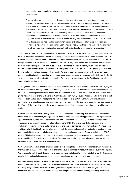compared to winter months, with the result that this business also sees higher revenues and margins in H2 each year.

Providor, a leading national installer of smart meters (operating as a meter asset manager and meter operator), working for several "Big 6" and challenger utilities, who are required to install smart meters in every home in England, Wales and Scotland. The business is experienced in the ongoing UK-wide government roll-out, previously beset by delays and technology challenges around deployment of newer "SMETS2" meter assets. As we have previously advised it was announced that the deadline for installation had been extended to 2024 to allow a more realistic timeframe for delivery. While an expected impact is that overall roll-out costs for the industry may continue to rise, we believe a benefit from this revised timetable will be seen in more consistent volumes to allow more deliverable and sustainable installation levels in coming years. Approximately one third of the 55m total meters within the roll-out have now been installed as smart, with a significant market opportunity remaining.

The division showed period-on-period revenue reduction of 2.0% to £37.3m (H1 FY19: £38.0m), reflecting some revenue reductions within the Everwarm business partly offset by an increase in smart meter installation work in Providor reflecting previous contract wins and consistency in delivery as mentioned in previous updates. EBITA margin improved to 5.2% on the lower revenues (H1 FY19: 5.0%). Results included operational improvements from the prior interim period with continued positive performance in smart metering, which had a profitable H1 trading position for the first time, in addition to a small profit within our Welsh Arbed joint venture (prior year had been a mobilisation phase as previously advised). An overall decrease in profitability of the Everwarm business, due to a combination of the reduction in revenues, some impact from mix of works and a shortfall from the Covid-19 impact on March trading, offset those benefits. We saw relative consistency in the Scottish Warmworks joint venture trading performance.

The largest win for the division has seen extension of our services to the central belt of Scotland (SPOW) region with Scottish Power, offering further smart metering installation services with estimated total contract value of up to £24m. Further significant awards were within the Everwarm business and included £5.4m of air source heat pump installation works for E.ON, up to £10.7m with Argyll Community Housing Association for a mix of external wall insulation and air source heat pump installation in addition to a £1.9m award with Waverley Housing Association for a mix of improvement measures including insulation. The Everwarm business was also placed on the Fusion 21 framework, which is believed to represent a significant opportunity for future energy efficiency works.

Providor remains focused on existing contract delivery; and following the clarity now provided on the Government smart meter roll-out extension, had signaled our intent to review new contract opportunities. This represents an opportunity to strengthen further, particularly following commencement of SMETS2 meter technology installations, with consistency generally expected within volumes up to 2024. Previously awarded agreements and an evaluation of existing contracts and potential extensions give us confidence over future delivery. We have been working well with Scottish Power as a key client in both the sector and across the division for a number of years and are delighted this strong relationship has resulted in extending our service offering to include their SPOW region. This is also geographically attractive to the Sureserve Group given the pre-existing base in Bathgate within established Energy Services operations. We consider this a key demonstration of our ongoing service delivery to extend reach with an existing customer.

Within Everwarm, carbon prices remained largely stable during the period however volumes remain impacted by the transition to "ECO3" which has proven challenging due to changes in measure types and qualifying property. We continue to work through this period and believe we are well-placed to deliver on behalf of our Utility partners despite the ongoing challenges, particularly given the volumes are now becoming more consistent.

Our Warmworks joint venture delivering the Warmer Homes Scotland initiative for the Scottish Government saw ongoing operationally strong performance and client delivery. The Scottish Government's flagship Home Energy Efficiency Programme for Scotland ("HEEPS") continued to perform well in the first half, bringing a diversified installation portfolio, focusing on central heating, boiler improvements and other energy efficiency installation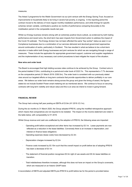#### measures.

The Arbed 3 programme for the Welsh Government via our joint venture with the Energy Saving Trust, focused on improvements to households likely to be living in severe fuel poverty, is ongoing. In the reporting period the contract moved to the delivery of more regular monthly installation performance, and while timings for specific schemes remain variable, contributed a positive six months of performance comparing favourably to the mobilisation period in the comparable results last year.

Whilst our Energy business remains strong with an extremely positive future outlook, as evidenced by both trading performance and recent wins, the short-term has seen impacts from Government action to address the impact of the Covid-19 outbreak. The Energy division has not been afforded the same "key worker" status as seen in our Compliance businesses due to a combination of our services delivered and devolved government approaches around continuation of works, particularly in Scotland. This has resulted in what we believe to be a short-term reduction in trade within both Energy businesses and joint ventures for which we are navigating through a range of measures. These include the application for appropriate government support, customer and supplier negotiations and the implementation of any necessary cost control procedures to best mitigate the impact of the situation.

#### **New wins and order book**

The Board is encouraged that high bidding success rates continue to be achieved by the Group. Contract wins in the period totalled £124m, contributing to a period-end order book of £323.7m. This represented a 7.7% decrease on the comparative period (31 March 2019: £350.5m). The order book is consistent with our previously stated view around our targeted efforts on long term contracts that provide opportunities to deliver profitably in our core areas. We believe our order book remains strong across the group and given the timing of award, the figures stated do not include Scottish Power smart metering win as mentioned above. We continue to focus on securing contracts with long term visibility and robust value and this is an area we intend to invest in going forward.

#### **FINANCIAL REVIEW**

The Group had a strong half year posting an EBITA of £3.9m (H1 2019: £3.1m).

During the six months to 31 March 2020, the Group adopted IFRS16, using the modified retrospective approach which means that comparatives are not required to be restated. The impact on the income statement are noted in the table below, with comparability to H1 2019.

Whilst Group revenue and cash are unaffected by the adoption of IFRS16, the following areas are impacted:

- Operating profit before exceptional and other items has increased by £0.1m. Lease payments are now reflected as a reduction in the lease liabilities. Conversely there is an increase in depreciation, and interest on finance lease obligations
- · Operating expenses (lease costs) have decreased by £2.3m
- Depreciation charges increased by £2.2m
- Finance costs increased by £0.15m such that the overall impact on profit before tax of adopting IFRS16 has been a decrease of £0.1m
- The statement of financial position recognises £8.3m right of use assets and £8.3m lease liabilities on transition.
- · Total indebtedness therefore increases, although this does not have an impact on the Group's covenants, which are measured on an historic GAAP basis

A reconciliation of EBITA and adjusted EBITA pre-IFRS16 to profit before tax for the period is provided below: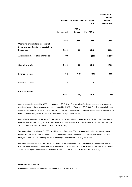|                                                      | Unaudited six months ended 31 March<br>2020 |                  |            | <b>Unaudited six</b><br>months<br>ended 31<br><b>March 2019</b> |
|------------------------------------------------------|---------------------------------------------|------------------|------------|-----------------------------------------------------------------|
|                                                      | As reported                                 | IFRS16<br>impact | Pre IFRS16 |                                                                 |
| Operating profit before exceptional                  | £'000                                       | £'000            | £'000      | £'000                                                           |
| items and amortisation of acquisition<br>intangibles | 3,932                                       | 89               | 3,843      | 3,095                                                           |
| Amortisation of acquisition intangibles              | (800)                                       |                  | (800)      | (1, 367)                                                        |
| <b>Operating profit</b>                              | 3,132                                       | 89               | 3,043      | 1,728                                                           |
| Finance expense                                      | (614)                                       | (148)            | (466)      | (609)                                                           |
| Investment income                                    | 39                                          |                  | 39         |                                                                 |
| Profit before tax                                    | 2,557                                       | (59)             | 2,616      | 1,119                                                           |

Group revenue increased by 6.9% to £109.6m (H1 2019: £102.5m), mainly reflecting an increase in revenues in the Compliance division, whose revenues increased by 11.6% to £73.4m (H1 2019: £65.7m). Revenues in Energy Services decreased by 2.0% to £37.3m (H1 2019: £38.0m). These divisional revenue figures include revenue from intercompany trading which accounts for a total of £1.1m (H1 2019: £1.3m).

Group EBITA increased by 27.0% to £3.9m (H1 2019: £3.1m), reflecting an increase in EBITA in the Compliance division of 40.2% to £3.7m (H1 2019: £2.6m) and an increase in EBITA in Energy Services of 1.6% to £1.9m (H1 2019: £1.9m). Central costs were £1.7m (H1 2019: £1.4m).

We reported an operating profit of £3.1m (H1 2019: £1.7m), after £0.8m of amortisation charges for acquisition intangibles (H1 2019: £1.4m). The reduction in amortisation reflected the fact that we have taken amortisation charges in prior periods, meaning we are amortising a reduced base of intangible assets.

Net interest expense was £0.6m (H1 2019: £0.6m), which represented the interest charged on our debt facilities (net of finance income), together with the amortisation of debt issue costs, which totaled £0.4m (H1 2019: £0.6m). The H1 2020 figures includes £0.15m interest in relation to the adoption of IFRS16 (H1 2019: £nil).

#### **Discontinued operations**

Profits from discontinued operations amounted to £0.1m (H1 2019: £nil)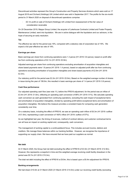Discontinued activities represent the Group's Construction and Property Services divisions which were sold on 17 August 2018 and Orchard (Holdings) UK Limited which was sold in September 2017. The profits for the six-month period to 31 March 2020 on disposal of discontinued operations comprise:

· £0.1m profit on sale of Orchard (Holdings) UK Limited from reassessment of the fair value of consideration receivable

On 20 December 2019, Mapps Group Limited, the acquirer of Lakehouse Contracts Limited and Foster Property Maintenance Limited, went into liquidation. We are in active dialogue with the liquidators and our advisors, in the hope of securing an early resolution.

#### **Tax**

The effective tax rate for the period was 19%, compared with a statutory rate of corporation tax of 19%. We expect a full year effective tax rate of 19%.

#### **Earnings per share**

Basic earnings per share from continuing operations were 1.3 pence (H1 2019: 0.6 pence), based on profit after tax from continuing operations of £2.1m (H1 2019: £0.9m).

Adjusted earnings per share from continuing operations excluding amortisation of acquisition intangibles and share based payments were 1.8 pence (H1 2019: 1.4 pence), based on adjusted profit after tax from continuing operations excluding amortisation of acquisition intangibles and share based payments of £2.9m (H1 2019: £2.3m).

Our statutory profit for the period was £2.2m (H1 2019: £0.9m). Based on the weighted average number of shares in issue during the year of 158.9m, this resulted in basic earnings per share of 1.4 pence (H1 2019: 0.6 pence).

#### **Cash flow performance**

Our adjusted operating cash flow (see note 11), before the IFRS16 adjustment, for the period was an inflow of £3.4m (H1 2019: £1.6m), reflecting an operating cash conversion of 88% (H1 2019: 51%). We calculate operating cash conversion as cash generated from continuing operations, excluding the cash impact of exceptional items and amortisation of acquisition intangibles, divided by operating profit before exceptional items and amortisation of acquisition intangibles. We believe this measure provides a consistent basis for comparing cash generation consistently over time.

On a statutory basis, including the effect of IFRS16, we saw an operating cash inflow of £6.3m (H1 2019: outflow of £1.8m), representing a cash conversion of 160% inflow (H1 2019: outflow of 57%).

As we highlighted last year, the timing of revenues, method of contract delivery and customer contractual terms can all have an impact on working capital and, consequently, cash conversion.

The management of working capital is a continueddavid focus. This includes accrued income, debtors and creditors. We manage these balances within our banking facilities. However, we recognise the importance of supporting our supply chain. We have ensured that we have paid our suppliers as normal.

#### **Net debt**

At 31 March 2020, the Group had net debt excluding the effect of IFRS16 of £3.5m (31 March 2019: £12.9m). However, this represents a snapshot in time and the weighted average revolving credit facility drawdown in the period was £9.7m (H1 2019: £15.3m).

The total net debt including the effect of IFRS16 is £9.9m, this is based upon a £6.4m adjustment for IFRS16.

#### **Banking arrangements**

We had drawn £10.0m at 31 March 2020 (31 March 2019: £14.5m) under our revolving credit facility (excluding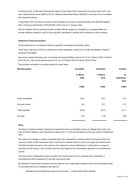borrowing costs). At the date of issuing this report we had drawn £6.5m (excluding borrowing costs), with a net cash, before finance lease liability of £4.3m; National Westminster Bank ('NatWest') continues to be an excellent and supportive partner.

In December 2018, the Group renewed its bank facilities to provide an overdraft facility of £5,000,000 together with a revolving credit facility of £25,000,000, which runs to 31 January 2022.

We are confident that our banking facilities provide sufficient support in managing our corporate affairs and provide sufficient capacity to plan for future growth, particularly in bidding with confidence on new contracts.

#### **Statement of financial position**

The principal items in our balance sheet are goodwill, borrowings and working capital.

There was a reduction of £0.8m in goodwill and other intangibles, mainly due to £0.8m amortisation charge of acquisition intangibles.

Net current assets (excluding cash, borrowings and lease liabilities) stood at £7.1m at 31 March 2020 (31 March 2019: £8.2m). Net current assets stood at £10.1m at 31 March 2020 (31 March 2019: £9.6m).

The principal movements in working capital are noted below;

| <b>Working capital</b> | <b>Unaudited</b> | <b>Unaudited</b> | <b>Audited</b>          |  |
|------------------------|------------------|------------------|-------------------------|--|
|                        | 31 March<br>2020 | 31 March<br>2019 | 30<br>September<br>2019 |  |
|                        | £'000            | £'000            | £'000                   |  |
| Trade receivables      | 28.3             | 23.3             | 17.9                    |  |
| Accrued income         | 9.6              | 15.1             | 17.6                    |  |
| Trade payables         | (23.6)           | (23.7)           | (21.1)                  |  |
| Accruals               | (7.6)            | (7.8)            | (8.0)                   |  |

#### **Risks**

The Board considers strategic, financial and operational risks and identifies actions to mitigate those risks. Key risks and their mitigation were disclosed on pages 29 to 31 of the Annual Report for the year ended 30 September 2019.

We continue to manage a number of potential risks and uncertainties, including claims and disputes which are common to other similar businesses which could have a material impact on short and longer term performance. The Board remains focused on the outcome of a number of contract settlements on which there is a range of outcomes for the Group in terms of both cash flow and impact on the consolidated statement of comprehensive income.

The Group have implemented a clear procedure for ensuring that all of our premises have undertaken a comprehensive Risk Assessment in line with returning to work.

By adhering to Government Guidance and the steps we, as a responsible collective Group have proactively taken, we advocate that all our colleagues stay alert by:-

Maintaining social distancing measures at all times - 2 metres apart where possible;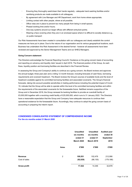- · Ensuring they thoroughly wash/clean their hands regularly adequate hand washing facilities and/or sanitising products are made available to all colleagues:
- · By agreement with Line Manager and HR Department, work from home where appropriate;
- Limiting contact with other people, where at all possible;
- Office rotas are in place to prevent too many people from being in small spaces;
- Phased working time and/or hours;
- One-way systems around our larger offices with different entry/exit points;
- · Wearing a face covering when they are in an enclosed space where it is difficult to socially distance e.g., on public transport

Our Risk Assessments have been created in consultation with our colleagues and clearly establish the control measures we have put in place. Due to the nature of our organisation and its various geographical locations, each Business has undertaken this Risk Assessment in the desired format - however all assessments have been reviewed and approved by the Senior Management Teams and our SHEQ Managers.

#### **Going Concern statement**

The Directors acknowledge the Financial Reporting Council's 'Guidance on the going concern basis of accounting and reporting on solvency and liquidity risks' issued in April 2016. The financial position of the Group, its cash flows, liquidity position and borrowing facilities are described in the Financial Review.

In assessing the Group and Company's ability to continue as a going concern, the Board reviews and approves the annual budget, three-year plan and a rolling 12 month forecast, including forecasts of cash flows, borrowing requirements and covenant headroom. The Board reviews the Group's sources of available funds and the level of headroom available against its committed borrowing facilities and associated covenants. The Group's financial forecasts, taking into account possible sensitivities in trading performance including the potential impact of Covid-19, indicate that the Group will be able to operate within the level of its committed borrowing facilities and within the requirements of the associated covenants for the foreseeable future. NatWest remains supportive of the Group and in December 2018, the Group renewed its banking facilities to provide an overdraft facility of £5,000,000 together with a revolving credit facility of £25,000,000, which runs to 31 January 2022. The Directors have a reasonable expectation that the Group and Company have adequate resources to continue their operational existence for the foreseeable future. Accordingly, they continue to adopt the going concern basis of accounting in preparing the Interim report.

# **CONDENSED CONSOLIDATED STATEMENT OF COMPREHENSIVE INCOME**

**For the six months ended 31 March 2020**

|                          |                | <b>Unaudited</b><br>six months<br>ended 31<br><b>March 2020</b> | <b>Unaudited</b><br>six months<br>ended 31<br><b>March 2019</b> |                       |
|--------------------------|----------------|-----------------------------------------------------------------|-----------------------------------------------------------------|-----------------------|
|                          | <b>Notes</b>   | £'000                                                           | £'000                                                           | £'000                 |
| Revenue<br>Cost of sales | $\overline{2}$ | 109,551<br>(92,029)                                             | 102,476<br>(88, 130)                                            | 212,066<br>(179, 188) |
| <b>Gross profit</b>      |                | 17,522                                                          | 14,346                                                          | 32,878                |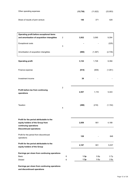| Other operating expenses          | (13, 736) | (11, 622) | (23, 953) |
|-----------------------------------|-----------|-----------|-----------|
| Share of results of joint venture | 146       | 371       | 429       |

| Operating profit before exceptional items                                                                                                |                |              |              |              |
|------------------------------------------------------------------------------------------------------------------------------------------|----------------|--------------|--------------|--------------|
| and amortisation of acquisition intangibles                                                                                              | $\overline{2}$ | 3,932        | 3,095        | 9,354        |
| <b>Exceptional costs</b>                                                                                                                 | 3              |              |              | (225)        |
| Amortisation of acquisition intangibles                                                                                                  |                | (800)        | (1, 367)     | (2,735)      |
| <b>Operating profit</b>                                                                                                                  |                | 3,132        | 1,728        | 6,394        |
| Finance expense                                                                                                                          |                | (614)        | (609)        | (1,051)      |
| Investment income                                                                                                                        |                | 39           |              |              |
| Profit before tax from continuing<br>operations                                                                                          | 2              | 2,557        | 1,119        | 5,343        |
| Taxation                                                                                                                                 | $\overline{4}$ | (498)        | (218)        | (1, 154)     |
| Profit for the period attributable to the<br>equity holders of the Group from<br>continuing operations<br><b>Discontinued operations</b> |                | 2,059        | 901          | 4,189        |
| Profit for the period from discontinued<br>operations                                                                                    |                | 128          |              | 848          |
| Profit for the period attributable to the<br>equity holders of the Group                                                                 |                | 2,187        | 901          | 5,037        |
| Earnings per share from continuing operations<br><b>Basic</b><br>Diluted                                                                 | 6<br>6         | 1.3p<br>1.3p | 0.6p<br>0.6p | 2.7p<br>2.6p |

**Earnings per share from continuing operations and discontinued operations**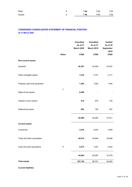| Basic   | 1.4p | 0.6p | 3.2 <sub>p</sub> |
|---------|------|------|------------------|
| Diluted | 1.4p | 0.6p | 3.2p             |

# **CONDENSED CONSOLIDATED STATEMENT OF FINANCIAL POSITION At 31 March 2020**

|                               |                  | <b>Unaudited</b><br>As at 31<br><b>March 2020</b> | <b>Unaudited</b><br>As at 31<br><b>March 2019</b> | <b>Audited</b><br>As at 30<br>September<br>2019 |
|-------------------------------|------------------|---------------------------------------------------|---------------------------------------------------|-------------------------------------------------|
|                               | <b>Notes</b>     | £'000                                             | £'000                                             | £'000                                           |
| <b>Non-current assets</b>     |                  |                                                   |                                                   |                                                 |
| Goodwill                      |                  | 42,357                                            | 42,406                                            | 42,357                                          |
| Other intangible assets       |                  | 1,416                                             | 3,701                                             | 2,171                                           |
| Property, plant and equipment |                  | 1,302                                             | 1,483                                             | 1,344                                           |
| Right-of-use assets           | $\boldsymbol{7}$ | 6,296                                             |                                                   |                                                 |
| Interest in joint venture     |                  | 614                                               | 675                                               | 732                                             |
| Deferred tax asset            |                  | 603                                               | 195                                               | 467                                             |
|                               |                  | 52,588                                            | 48,460                                            | 47,071                                          |
| <b>Current assets</b>         |                  |                                                   |                                                   |                                                 |
| Inventories                   |                  | 3,276                                             | 3,034                                             | 3,059                                           |
| Trade and other receivables   |                  | 45,015                                            | 45,846                                            | 42,068                                          |
| Cash and cash equivalents     | $\boldsymbol{9}$ | 6,273                                             | 1,407                                             | 2,452                                           |
|                               |                  | 54,564                                            | 50,287                                            | 47,579                                          |
| <b>Total assets</b>           |                  | 107,152                                           | 98,747                                            | 94,650                                          |

**Current liabilities**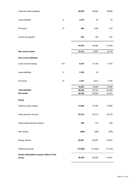| Trade and other payables                              |                  | 40,045   | 38,902    | 36,698    |
|-------------------------------------------------------|------------------|----------|-----------|-----------|
|                                                       |                  |          |           |           |
| Lease liabilities                                     | $\boldsymbol{9}$ | 3,279    | 53        | 54        |
| Provisions                                            | 10               | 465      | 1,549     | 415       |
|                                                       |                  |          |           |           |
| Income tax payable                                    |                  | 634      | 192       | 242       |
|                                                       |                  | 44,423   | 40,696    | 37,409    |
| Net current assets                                    |                  | 10,141   | 9,591     | 10,170    |
| <b>Non-current liabilities</b>                        |                  |          |           |           |
| Loans and borrowings                                  | 8,9              | 9,810    | 14,199    | 9,755     |
|                                                       |                  |          |           |           |
| Lease liabilities                                     | 9                | 3,106    | 34        |           |
|                                                       |                  |          |           |           |
| Provisions                                            | 10               | 3,287    | 3,813     | 3,195     |
|                                                       |                  | 16,203   | 18,046    | 12,950    |
| <b>Total liabilities</b>                              |                  | 60,626   | 58,742    | 50,359    |
| <b>Net assets</b>                                     |                  | 46,526   | 40,005    | 44,291    |
| <b>Equity</b>                                         |                  |          |           |           |
| Called up share capital                               |                  | 15,895   | 15,754    | 15,895    |
| Share premium account                                 |                  | 25,318   | 25,318    | 25,318    |
|                                                       |                  |          |           |           |
| Share-based payment reserve                           |                  | 586      | 776       | 538       |
| Own shares                                            |                  | (290)    | (290)     | (290)     |
| Merger reserve                                        |                  | 20,067   | 20,067    | 20,067    |
| Retained earnings                                     |                  | (15,050) | (21, 620) | (17, 237) |
| Equity attributable to equity holders of the<br>Group |                  | 46,526   | 40,005    | 44,291    |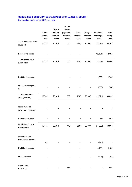# **CONDENSED CONSOLIDATED STATEMENT OF CHANGES IN EQUITY For the six months ended 31 March 2020**

|                                          |              | <b>Share</b>             | Share-<br>based |        |               |                 |              |
|------------------------------------------|--------------|--------------------------|-----------------|--------|---------------|-----------------|--------------|
|                                          | <b>Share</b> | premium                  | payment         | Own    | <b>Merger</b> | <b>Retained</b> | <b>Total</b> |
|                                          | capital      | account                  | reserve         | shares | reserve       | earnings        | equity       |
|                                          | £'000        | £'000                    | £'000           | £'000  | £'000         | £'000           | £'000        |
| At 1 October 2017<br>(audited)           | 15,753       | 25,314                   | 776             | (290)  | 20,067        | (11, 378)       | 50,242       |
| Loss for the period                      |              |                          |                 |        |               | (12, 154)       | (12, 154)    |
| At 31 March 2018<br>(unaudited)          | 15,753       | 25,314                   | 776             | (290)  | 20,067        | (23, 532)       | 38,088       |
| Profit for the period                    |              |                          |                 |        |               | 1,799           | 1,799        |
| Dividends paid (note<br>5)               |              |                          |                 |        |               | (788)           | (788)        |
| At 30 September<br>2018 (audited)        | 15,753       | 25,314                   | 776             | (290)  | 20,067        | (22, 521)       | 39,099       |
| Issue of shares<br>(exercise of options) | 1            | 4                        |                 |        |               |                 | 5            |
| Profit for the period                    |              |                          |                 |        |               | 901             | 901          |
| At 31 March 2019<br>(unaudited)          | 15,754       | 25,318                   | 776             | (290)  | 20,067        | (21,620)        | 40,005       |
| Issue of shares<br>(exercise of options) | 141          |                          |                 |        |               | (141)           |              |
| Profit for the period                    |              |                          |                 |        |               | 4,136           | 4,136        |
| Dividends paid                           |              |                          |                 |        |               | (394)           | (394)        |
| Share based<br>payments                  |              | $\overline{\phantom{a}}$ | 544             |        |               |                 | 544          |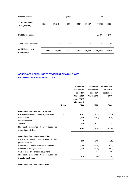| At 31 March 2020<br>(unaudited)   | 15,895 | 25,318 | 586   | (290) | 20,067                       | (15,050)  | 46,526                   |
|-----------------------------------|--------|--------|-------|-------|------------------------------|-----------|--------------------------|
| Share based payments              |        |        | 48    |       |                              |           | 48                       |
| Profit for the period             |        |        |       |       | $\overline{\phantom{a}}$     | 2,187     | 2,187                    |
| At 30 September<br>2019 (audited) | 15,895 | 25,318 | 538   | (290) | 20,067                       | (17, 237) | 44,291                   |
| Reserve transfer                  |        |        | (782) |       | $\qquad \qquad \blacksquare$ | 782       | $\overline{\phantom{a}}$ |

# **CONDENSED CONSOLIDATED STATEMENT OF CASH FLOWS For the six months ended 31 March 2020**

|                                                                                                                                                                                                                               | <b>Notes</b> | <b>Unaudited</b><br>six months<br>ended 31<br><b>March 2020</b><br>(post IFRS16<br>adjustment)<br>£'000 | <b>Unaudited</b><br>six months<br>ended 31<br><b>March 2019</b><br>£'000 | <b>Audited year</b><br>ended 30<br>September<br>2019<br>£'000 |
|-------------------------------------------------------------------------------------------------------------------------------------------------------------------------------------------------------------------------------|--------------|---------------------------------------------------------------------------------------------------------|--------------------------------------------------------------------------|---------------------------------------------------------------|
| Cash flows from operating activities<br>Cash generated from / (used in) operations<br>Interest paid<br>Interest received<br>Taxation                                                                                          | 11           | 6,292<br>(540)<br>39<br>(242)                                                                           | (1,752)<br>(467)<br>511                                                  | 5,539<br>(914)<br>(34)                                        |
| Net cash generated from / (used in)<br>operating activities                                                                                                                                                                   |              | 5,549                                                                                                   | (1,708)                                                                  | 4,591                                                         |
| Cash flows from investing activities<br>Receipt of deferred consideration on prior<br>period disposals<br>Purchase of property, plant and equipment<br>Purchase of intangible assets<br>Sale of property, plant and equipment |              | 930<br>(283)<br>(232)<br>3                                                                              | 916<br>(334)<br>(300)<br>13                                              | 910<br>(631)<br>(403)<br>86                                   |
| Net cash generated from / (used in)<br>investing activities                                                                                                                                                                   |              | 418                                                                                                     | 295                                                                      | (38)                                                          |

**Cash flows from financing activities**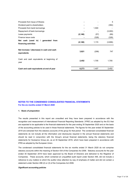| Proceeds from Issue of Shares                                  |          |       | 5       |
|----------------------------------------------------------------|----------|-------|---------|
| Dividend paid to shareholders                                  |          |       | (394)   |
| Proceeds from bank borrowings                                  |          | 1,500 |         |
| Repayment of bank borrowings                                   |          |       | (3,000) |
| Lease payments                                                 | (2, 146) | (57)  | (89)    |
| Finance issue costs                                            |          | (328) | (328)   |
| Net cash (used in) /<br>generated from<br>financing activities | (2, 146) | 1,115 | (3,806) |
| Net increase / (decrease) in cash and cash<br>equivalents      | 3,821    | (298) | 747     |
| Cash and cash equivalents at beginning of<br>year              | 2,452    | 1,705 | 1,705   |
| Cash and cash equivalents at end of year                       | 6,273    | 1,407 | 2,452   |

# **NOTES TO THE CONDENSED CONSOLIDATED FINANCIAL STATEMENTS For the six months ended 31 March 2020**

#### **1. Basis of preparation**

The results presented in this report are unaudited and they have been prepared in accordance with the recognition and measurement of International Financial Reporting Standards (`IFRS') as adopted by the EU that are expected to be applicable to the financial statements for the year ending 30 September 2020 and on the basis of the accounting policies to be used in those financial statements. The figures for the year ended 30 September 2019 are extracted from the statutory accounts of the group for that period The condensed consolidated financial statements do not include all the information and disclosures required in the annual financial statements and should be read in conjunction with the Group's annual financial statements, being the statutory financial statements for Sureserve Group plc, as at 30 September 2019, which have been prepared in accordance with IFRS as adopted by the European Union.

The condensed consolidated financial statements for the six months ended 31 March 2020 do not comprise statutory accounts within the meaning of Section 434 of the Companies Act 2006. Statutory accounts for the year ended 30 September 2019 have been approved by the Board of Directors and delivered to the Registrar of Companies. These accounts, which contained an unqualified audit report under Section 495, did not include a reference to any matters to which the auditor drew attention by way of emphasis of matter and did not contain a statement under Section 498 (2) or (3) of the Companies Act 2006.

#### *Significant accounting policies*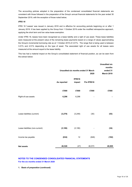The accounting policies adopted in the preparation of the condensed consolidated financial statements are consistent with those followed in the preparation of the Group's annual financial statements for the year ended 30 September 2019, with the exception of those noted below;

#### *IFRS 16*

IFRS 16 'Leases' was issued in January 2016 and is effective for accounting periods beginning on or after 1 January 2019. It has been applied by the Group from 1 October 2019 under the modified retrospective approach, applying the short term and low value lease exemption.

Under IFRS 16, leases have been recognised as a lease liability and a right of use asset. These lease liabilities were measured at the present value of the remaining lease payments based on a range of values approximating the Group's incremental borrowing rate as at 1 October 2019 of 4.01%. The range that is being used is between 3.01% and 4.51% depending on the type of asset. The associated right of use assets for all leases were measured at the amount equal to the lease liability.

This has had a material impact on the Group's consolidated statement of financial position, as can be seen from the extract below:

|                                 |             | <b>Unaudited six months ended 31 March</b> |            | <b>Unaudited six</b><br>months<br>ended 31 |
|---------------------------------|-------------|--------------------------------------------|------------|--------------------------------------------|
|                                 |             |                                            | 2020       | <b>March 2019</b>                          |
|                                 | As reported | IFRS16<br>impact                           | Pre IFRS16 |                                            |
|                                 | £'000       | £'000                                      | £'000      | £'000                                      |
| Right-of-use assets             | 6,296       | 6,296                                      |            |                                            |
|                                 |             |                                            |            |                                            |
| Lease liabilities (current)     | (3, 279)    | (3, 249)                                   | (30)       | (53)                                       |
|                                 |             |                                            |            |                                            |
| Lease liabilities (non-current) | (3, 106)    | (3, 106)                                   |            | (34)                                       |
|                                 |             |                                            |            |                                            |
| Income tax payable              | (634)       | 12                                         | (646)      | (192)                                      |
| <b>Net assets</b>               | 46,526      | (47)                                       | 46,573     | 40,005                                     |

# **NOTES TO THE CONDENSED CONSOLIDATED FINANCIAL STATEMENTS For the six months ended 31 March 2020**

**1. Basis of preparation (continued)**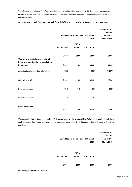The effect on operating profit before exceptional and other items has increased by £0.1m. Lease payments are now reflected as a reduction in lease liabilities. Conversely there is an increase in depreciation and interest on lease obligations.

A reconciliation of EBITA and adjusted EBITA pre-IFRS16 to profit before tax for the period is provided below:

|                                                      | Unaudited six months ended 31 March | <b>Unaudited six</b><br>months<br>ended 31<br><b>March 2019</b> |            |          |
|------------------------------------------------------|-------------------------------------|-----------------------------------------------------------------|------------|----------|
|                                                      | As reported                         | IFRS16<br>impact                                                | Pre IFRS16 |          |
| Operating profit before exceptional                  | £'000                               | £'000                                                           | £'000      | £'000    |
| items and amortisation of acquisition<br>intangibles | 3,932                               | 89                                                              | 3,843      | 3,095    |
| Amortisation of acquisition intangibles              | (800)                               |                                                                 | (800)      | (1, 367) |
| <b>Operating profit</b>                              | 3,132                               | 89                                                              | 3,043      | 1,728    |
| Finance expense                                      | (614)                               | (148)                                                           | (466)      | (609)    |
| Investment income                                    | 39                                  |                                                                 | 39         |          |
| Profit before tax                                    | 2,557                               | (59)                                                            | 2,616      | 1,119    |

Cash is unaffected by the adoption of IFRS16, but as noted on the extract of the Statement of Cash Flows below, cash generated from operating activities has increased being offset by a decrease in the cash used in financing activities:

|             |                                     |            | <b>Unaudited six</b> |
|-------------|-------------------------------------|------------|----------------------|
|             |                                     |            | months               |
|             | Unaudited six months ended 31 March |            | ended 31             |
|             |                                     | 2020       | <b>March 2019</b>    |
| As reported | IFRS16<br>impact                    | Pre IFRS16 |                      |
| £'000       | £'000                               | £'000      | £'000                |

Net cash generated from / (used in)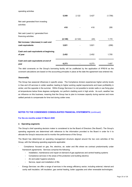|                                                             | 5,549    | 2,122    | 3,427 | (1,708) |
|-------------------------------------------------------------|----------|----------|-------|---------|
| Net cash generated from investing<br>activities             |          |          |       |         |
|                                                             | 418      |          | 418   | 295     |
| Net cash (used in) / generated from<br>financing activities |          |          |       |         |
|                                                             | (2, 146) | (2, 122) | (24)  | 1,115   |
| Net increase / (decrease) in cash and<br>cash equivalents   | 3,821    |          | 3,821 | (298)   |
| Cash and cash equivalents at beginning<br>of year           | 2,452    |          | 2,452 | 1,705   |
| Cash and cash equivalents at end of<br>year                 | 6,273    |          | 6,273 | 1,407   |

The debt covenants on the Group's borrowing facility will be unaffected by the application of IFRS16 as the covenant calculations are based on the accounting principles in place at the date the agreement was entered into.

#### *Seasonality*

The Group has seasonal influences in specific areas. The Compliance division experiences higher activity levels in Gas and Lift services in colder weather, leading to higher working capital requirements and lower profitability in winter, and the opposite in the summer. Within Energy Services it is not possible to render walls or use fixing glue at temperatures below three degrees centigrade, nor perform cladding work in high winds. As such, weather has an influence on this business, meaning that the Group has to plan to increase capacity during warmer and more settled periods to compensate for time lost during colder ones.

#### **NOTES TO THE CONDENSED CONSOLIDATED FINANCIAL STATEMENTS** (continued)

### **For the six months ended 31 March 2020**

#### **2. Operating segments**

The Group's chief operating decision maker is considered to be the Board of Directors ('the Board'). The Group's operating segments are determined with reference to the information provided to the Board in order for it to allocate the Group's resources and to monitor the performance of the Group.

The Board has determined an operating management structure aligned around the two core activities of the Group, with the following operating segments applicable:

- Compliance: focused on gas, fire, electrics, air, water and lifts where we contract predominantly under framework agreements. Services comprise the following:
	- Installation, maintenance and repair-on-demand of gas appliances and central heating systems
	- Compliance services in the areas of fire protection and building electrics
	- Air and water hygiene solutions
	- Service, repair and installation of lifts
- Energy Services: we offer a range of services in the energy efficiency sector, including external, internal and cavity wall insulation, loft insulation, gas central heating, boiler upgrades and other renewable technologies.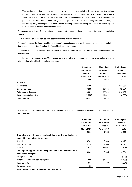The services are offered under various energy saving initiatives including Energy Company Obligations ("ECO"), Green Deal and the Scottish Government's HEEPs ("Home Energy Efficiency Programme") Affordable Warmth programme. Clients include housing associations, social landlords, local authorities and private householders and we have trading relationships with all of the "big six" utility suppliers and many of the leading utility challengers. We also provide metering services involving the installation, servicing and administration of devices and associated data.

The accounting policies of the reportable segments are the same as those described in the accounting policies section.

All revenue and profit are derived from operations in the United Kingdom only.

The profit measure the Board used to evaluate performance is operating profit before exceptional items and other items, as outlined in Note 3 and on the face of the income statement.

The Group accounts for inter-segment trading on an arm's length basis. All inter-segment trading is eliminated on consolidation.

The following is an analysis of the Group's revenue and operating profit before exceptional items and amortisation of acquisition intangibles by reportable segment:

|                              | <b>Unaudited</b>  | <b>Unaudited</b>  | <b>Audited year</b> |
|------------------------------|-------------------|-------------------|---------------------|
|                              | six months        | six months        | ended 30            |
|                              | ended 31          | ended 31          | <b>September</b>    |
|                              | <b>March 2020</b> | <b>March 2019</b> | 2019                |
|                              | £'000             | £'000             | £'000               |
| <b>Revenue</b>               |                   |                   |                     |
| Compliance                   | 73,351            | 65,743            | 133,051             |
| <b>Energy Services</b>       | 37,250            | 38,002            | 82,081              |
| <b>Total segment revenue</b> | 110,601           | 103,745           | 215,132             |
| Inter-segment elimination    | (1,050)           | (1,269)           | (3,066)             |
| <b>Total revenue</b>         | 109,551           | 102,476           | 212.066             |
|                              |                   |                   |                     |

*Reconciliation of* operating profit before exceptional items and amortisation of acquisition intangibles to profit before taxation

|                                                                                                | <b>Unaudited</b>  | <b>Unaudited</b>  | <b>Audited year</b> |
|------------------------------------------------------------------------------------------------|-------------------|-------------------|---------------------|
|                                                                                                | six months        | six months        | ended 30            |
|                                                                                                | ended 31          | ended 31          | September           |
|                                                                                                | <b>March 2020</b> | <b>March 2019</b> | 2019                |
|                                                                                                | £'000             | £'000             | £'000               |
| Operating profit before exceptional items and amortisation of                                  |                   |                   |                     |
| acquisition intangibles by segment                                                             |                   |                   |                     |
| Compliance                                                                                     | 3,701             | 2,640             | 8,470               |
| <b>Energy Services</b>                                                                         | 1,926             | 1,896             | 4,341               |
| Central                                                                                        | (1,695)           | (1,441)           | (3, 457)            |
| Total operating profit before exceptional items and amortisation of<br>acquisition intangibles | 3,932             | 3,095             | 9,354               |
| <b>Exceptional costs</b>                                                                       |                   |                   | (225)               |
| Amortisation of acquisition intangibles                                                        | (800)             | (1, 367)          | (2,735)             |
| Finance costs                                                                                  | (614)             | (609)             | (1,051)             |
| Investment income                                                                              | 39                |                   |                     |
| Profit before taxation from continuing operations                                              | 2,557             | 1,119             | 5,343               |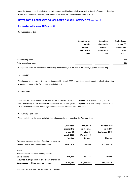Only the Group consolidated statement of financial position is regularly reviewed by the chief operating decision maker and consequently no segment assets or liabilities are disclosed here under IFRS 8.

# **NOTES TO THE CONDENSED CONSOLIDATED FINANCIAL STATEMENTS** (continued)

# **For the six months ended 31 March 2020**

#### **3. Exceptional items**

|                         | <b>Unaudited six</b><br>months<br>ended 31<br><b>March 2020</b><br>£'000 | <b>Unaudited</b><br>six months<br>ended 31<br><b>March 2019</b><br>£'000 | <b>Audited year</b><br>ended 30<br>September<br>2019<br>£'000 |
|-------------------------|--------------------------------------------------------------------------|--------------------------------------------------------------------------|---------------------------------------------------------------|
| Restructuring costs     | ٠                                                                        | $\overline{\phantom{a}}$                                                 | 225                                                           |
| Total exceptional costs | $\blacksquare$                                                           | $\overline{\phantom{0}}$                                                 | 225                                                           |

Exceptional items are considered non-trading because they are not part of the underlying trade of the Group.

#### **4. Taxation**

The income tax charge for the six months ended 31 March 2020 is calculated based upon the effective tax rates expected to apply to the Group for the period of 19%.

# **5. Dividends**

The proposed final dividend for the year ended 30 September 2019 of 0.5 pence per share amounting to £0.8m and representing a total dividend of 0.5 pence for the full year (2018: 0.25 pence per share), was paid on 30 April 2020 to the shareholders on the register at the close of business on 31 January 2020.

#### **6. Earnings per share**

The calculation of the basic and diluted earnings per share is based on the following data:

|                                                | <b>Unaudited</b><br>six months | <b>Unaudited</b><br>six months | <b>Audited year</b><br>ended 30 |
|------------------------------------------------|--------------------------------|--------------------------------|---------------------------------|
|                                                | ended 31                       | ended 31                       | September 2019                  |
|                                                | <b>March 2020</b>              | <b>March 2019</b>              |                                 |
|                                                | <b>Number</b>                  | <b>Number</b>                  | <b>Number</b>                   |
| Weighted average number of ordinary shares for |                                |                                |                                 |
| the purposes of basic earnings per share       | 158,947,467                    | 157,541,890                    | 158,049,310                     |
| <b>Diluted</b>                                 |                                |                                |                                 |
| Effect of dilutive potential ordinary shares:  |                                |                                |                                 |
| Share options                                  | 1,840,747                      | 189,136                        | 595,869                         |
| Weighted average number of ordinary shares for |                                |                                |                                 |
| the purposes of diluted earnings per share     | 160.788.214                    | 157.731.026                    | 158.645.179                     |
|                                                |                                |                                |                                 |

Earnings for the purpose of basic and diluted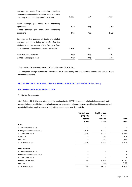| 2,059 | 901  | 4,189            |
|-------|------|------------------|
|       |      |                  |
|       |      |                  |
| 1.3p  | 0.6p | 2.7p             |
|       |      |                  |
| 1.3p  | 0.6p | 2.6 <sub>p</sub> |
| 2,187 | 901  | 5,037            |
| 1.4p  | 0.6p | 3.2p             |
| 1.4p  | 0.6p | 3.2p             |
|       |      |                  |

The number of shares in issue at 31 March 2020 was 158,947,467.

The weighted average number of Ordinary shares in issue during the year excludes those accounted for in the own shares reserve.

# **NOTES TO THE CONDENSED CONSOLIDATED FINANCIAL STATEMENTS** (continued)

# **For the six months ended 31 March 2020**

#### **7. Right-of-use assets**

On 1 October 2019 following adoption of the leasing standard IFRS16, assets in relation to leases which had previously been classified as operating leases were recognised, along with the reclassification of finance-leased assets held within tangible assets to right-of-use assets - see note 1 for details.

|                             | <b>Right-of-use</b> | Right-of-use |              |  |
|-----------------------------|---------------------|--------------|--------------|--|
|                             | property            | motor        |              |  |
|                             | assets              | vehicles     | <b>Total</b> |  |
|                             | £'000               | £'000        | £'000        |  |
| Cost                        |                     |              |              |  |
| At 30 September 2019        |                     |              |              |  |
| Change in accounting policy | 3,159               | 5,171        | 8,330        |  |
| At 1 October 2019           | 3,159               | 5,171        | 8,330        |  |
| Additions                   |                     | 314          | 314          |  |
| <b>Disposals</b>            |                     | (332)        | (332)        |  |
| At 31 March 2020            | 3,159               | 5,153        | 8,312        |  |
| <b>Depreciation</b>         |                     |              |              |  |
| At 30 September 2019        |                     |              |              |  |
| Change in accounting policy |                     |              |              |  |
| At 1 October 2019           |                     |              |              |  |
| Charge for the year         | 597                 | 1,585        | 2,182        |  |
| Disposals                   |                     | (166)        | (166)        |  |
| At 31 March 2020            | 597                 | 1,419        | 2,016        |  |
|                             |                     |              |              |  |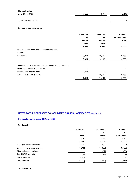| Net book value       |       |       |                          |
|----------------------|-------|-------|--------------------------|
| At 31 March 2020     | 2,562 | 3.734 | 6,296                    |
|                      |       |       |                          |
| At 30 September 2019 | -     | -     | $\overline{\phantom{a}}$ |

# **8. Loans and borrowings**

|                                                                    | <b>Unaudited</b> | <b>Unaudited</b> | <b>Audited</b> |
|--------------------------------------------------------------------|------------------|------------------|----------------|
|                                                                    | 31               | 31               | 30 September   |
|                                                                    | March            | March            | 2019           |
|                                                                    | 2020             | 2019             |                |
|                                                                    | £'000            | £'000            | £'000          |
| Bank loans and credit facilities at amortised cost:                |                  |                  |                |
| Current                                                            |                  |                  |                |
| Non-current                                                        | 9,810            | 14,199           | 9,755          |
|                                                                    | 9,810            | 14,199           | 9,755          |
| Maturity analysis of bank loans and credit facilities falling due: |                  |                  |                |
| In one year or less, or on demand                                  |                  |                  |                |
| Between one and two years                                          | 9,810            |                  |                |
| Between two and five years                                         |                  | 14,199           | 9,755          |
|                                                                    | 9,810            | 14,199           | 9,755          |

# **NOTES TO THE CONDENSED CONSOLIDATED FINANCIAL STATEMENTS** (continued)

# **For the six months ended 31 March 2020**

# **9. Net debt**

| <b>Unaudited</b><br><b>Unaudited</b> |           | <b>Audited</b>   |  |
|--------------------------------------|-----------|------------------|--|
| 31                                   | 31        | 30               |  |
| March                                | March     | <b>September</b> |  |
| 2020                                 | 2019      | 2019             |  |
| £'000                                | £'000     | £'000            |  |
| 6,273                                | 1,407     | 2,452            |  |
| (9,810)                              | (14, 199) | (9,755)          |  |
|                                      | (87)      | (54)             |  |
| (3, 537)                             | (12, 879) | (7, 357)         |  |
| (6, 385)                             |           |                  |  |
| (9, 922)                             | (12, 879) | (7, 357)         |  |
|                                      |           |                  |  |

#### **10. Provisions**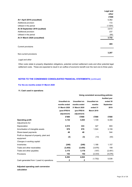|                                | Legal and |
|--------------------------------|-----------|
|                                | other     |
|                                | £'000     |
| At 1 April 2019 (unaudited)    | 5,362     |
| Additional provision           | 172       |
| Utilised in the period         | (1,924)   |
| At 30 September 2019 (audited) | 3,610     |
| Additional provision           | 237       |
| Utilised in the period         | (95)      |
| At 31 March 2020 (unaudited)   | 3,752     |
| Current provisions             | 465       |
| Non-current provisions         | 3,287     |
|                                |           |

#### *Legal and other*

Other costs relate to property dilapidation obligations, potential contract settlement costs and other potential legal settlement costs. These are expected to result in an outflow of economic benefit over the next one to three years.

# **NOTES TO THE CONDENSED CONSOLIDATED FINANCIAL STATEMENTS** (continued)

#### **For the six months ended 31 March 2020**

#### **11. Cash used in operations**

|                                                        |                      |                      | Using consistent accounting policies |                     |
|--------------------------------------------------------|----------------------|----------------------|--------------------------------------|---------------------|
|                                                        |                      |                      |                                      | <b>Audited year</b> |
|                                                        | <b>Unaudited six</b> | <b>Unaudited six</b> | <b>Unaudited six</b>                 | ended 30            |
|                                                        | months ended         | months ended         | months                               | September           |
|                                                        | 31 March 2020        | 31 March 2020        | ended 31                             | 2019                |
|                                                        | (post IFRS16         | (pre IFRS16          | <b>March 2019</b>                    |                     |
|                                                        | adjustment)          | adjustment)          |                                      |                     |
|                                                        | £'000                | £'000                | £'000                                | £'000               |
| <b>Operating profit</b>                                | 3,132                | 3,043                | 1,728                                | 6,394               |
| Adjustments for:                                       |                      |                      |                                      |                     |
| Depreciation                                           | 2,515                | 333                  | 327                                  | 693                 |
| Amortisation of intangible assets                      | 978                  | 978                  | 1,524                                | 3,159               |
| Share-based payments                                   | 48                   | 48                   |                                      | 544                 |
| Profit on disposal of property, plant and<br>equipment | (3)                  | (3)                  | (13)                                 | (40)                |
| Changes in working capital:                            |                      |                      |                                      |                     |
| Inventories                                            | (240)                | (240)                | 1,188                                | 1,157               |
| Trade and other receivables                            | (3, 455)             | (3, 455)             | (3,976)                              | 199                 |
| Trade and other payables                               | 3,175                | 3,176                | (197)                                | (2, 491)            |
| Provisions                                             | 142                  | 142                  | (2,333)                              | (4,076)             |
|                                                        | 6,292                | 4,022                |                                      |                     |
| Cash generated from / (used in) operations             | $\mathbf 2$          | $\mathbf{2}$         | (1,752)                              | 5,539               |

**Adjusted operating cash conversion calculation**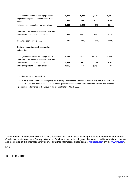| Cash generated from / (used in) operations                                                  | 6,292 | 4,022 | (1,752) | 5,539 |
|---------------------------------------------------------------------------------------------|-------|-------|---------|-------|
| Impact of exceptional and other costs in the<br>period                                      | (656) | (656) | 3,331   | 4,364 |
| Adjusted cash generated from operations                                                     | 5,636 | 3,366 | 1,579   | 9,903 |
| Operating profit before exceptional items and<br>amortisation of acquisition intangibles    | 3,932 | 3,843 | 3,095   | 9,354 |
| Operating cash conversion %                                                                 | 143%  | 88%   | 51%     | 106%  |
| <b>Statutory operating cash conversion</b><br>calculation                                   |       |       |         |       |
| Cash generated from / (used in) operations<br>Operating profit before exceptional items and | 6,292 | 4,022 | (1,752) | 5,539 |
| amortisation of acquisition intangibles                                                     | 3,932 | 3,843 | 3,095   | 9,354 |
| Statutory operating cash conversion %                                                       | 160%  | 105%  | (57%)   | 59%   |

#### **12. Related party transactions**

There have been no material changes to the related party balances disclosed in the Group's Annual Report and Accounts 2019 and there have been no related party transactions that have materially affected the financial position or performance of the Group in the six months to 31 March 2020.

This information is provided by RNS, the news service of the London Stock Exchange. RNS is approved by the Financial Conduct Authority to act as a Primary Information Provider in the United Kingdom. Terms and conditions relating to the use and distribution of this information may apply. For further information, please contact [rns@lseg.com](mailto:rns@lseg.com) or visit [www.rns.com](http://www.rns.com/).

# END

# IR FLFSRELIRFII